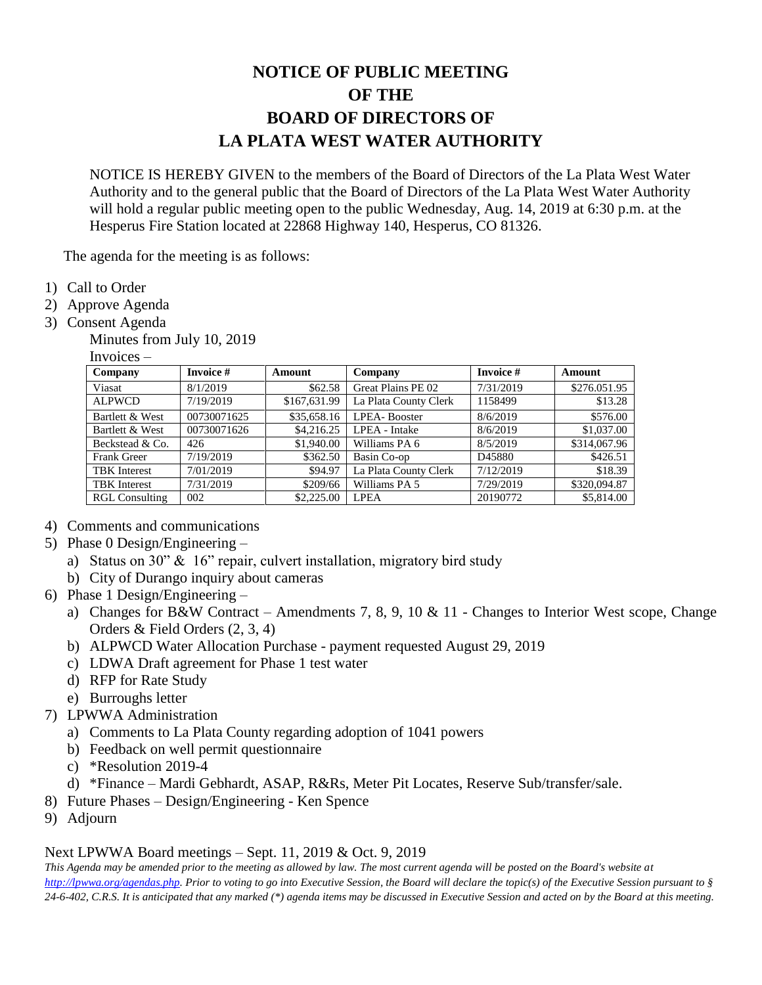## **NOTICE OF PUBLIC MEETING OF THE BOARD OF DIRECTORS OF LA PLATA WEST WATER AUTHORITY**

NOTICE IS HEREBY GIVEN to the members of the Board of Directors of the La Plata West Water Authority and to the general public that the Board of Directors of the La Plata West Water Authority will hold a regular public meeting open to the public Wednesday, Aug. 14, 2019 at 6:30 p.m. at the Hesperus Fire Station located at 22868 Highway 140, Hesperus, CO 81326.

The agenda for the meeting is as follows:

- 1) Call to Order
- 2) Approve Agenda
- 3) Consent Agenda
	- Minutes from July 10, 2019

Invoices –

| Company               | Invoice #   | <b>Amount</b> | Company               | <b>Invoice #</b> | Amount       |
|-----------------------|-------------|---------------|-----------------------|------------------|--------------|
| Viasat                | 8/1/2019    | \$62.58       | Great Plains PE 02    | 7/31/2019        | \$276.051.95 |
| <b>ALPWCD</b>         | 7/19/2019   | \$167,631.99  | La Plata County Clerk | 1158499          | \$13.28      |
| Bartlett & West       | 00730071625 | \$35,658.16   | <b>LPEA-Booster</b>   | 8/6/2019         | \$576.00     |
| Bartlett & West       | 00730071626 | \$4,216.25    | LPEA - Intake         | 8/6/2019         | \$1,037.00   |
| Beckstead & Co.       | 426         | \$1,940.00    | Williams PA 6         | 8/5/2019         | \$314,067.96 |
| Frank Greer           | 7/19/2019   | \$362.50      | Basin Co-op           | D45880           | \$426.51     |
| <b>TBK</b> Interest   | 7/01/2019   | \$94.97       | La Plata County Clerk | 7/12/2019        | \$18.39      |
| <b>TBK</b> Interest   | 7/31/2019   | \$209/66      | Williams PA 5         | 7/29/2019        | \$320,094.87 |
| <b>RGL Consulting</b> | 002         | \$2,225.00    | <b>LPEA</b>           | 20190772         | \$5,814.00   |

- 4) Comments and communications
- 5) Phase 0 Design/Engineering
	- a) Status on 30" & 16" repair, culvert installation, migratory bird study
	- b) City of Durango inquiry about cameras
- 6) Phase 1 Design/Engineering
	- a) Changes for B&W Contract Amendments 7, 8, 9, 10 & 11 Changes to Interior West scope, Change Orders & Field Orders (2, 3, 4)
	- b) ALPWCD Water Allocation Purchase payment requested August 29, 2019
	- c) LDWA Draft agreement for Phase 1 test water
	- d) RFP for Rate Study
	- e) Burroughs letter
- 7) LPWWA Administration
	- a) Comments to La Plata County regarding adoption of 1041 powers
	- b) Feedback on well permit questionnaire
	- c) \*Resolution 2019-4
	- d) \*Finance Mardi Gebhardt, ASAP, R&Rs, Meter Pit Locates, Reserve Sub/transfer/sale.
- 8) Future Phases Design/Engineering Ken Spence
- 9) Adjourn

## Next LPWWA Board meetings – Sept. 11, 2019 & Oct. 9, 2019

*This Agenda may be amended prior to the meeting as allowed by law. The most current agenda will be posted on the Board's website at [http://lpwwa.org/agendas.php.](http://lpwwa.org/agendas.php) Prior to voting to go into Executive Session, the Board will declare the topic(s) of the Executive Session pursuant to § 24-6-402, C.R.S. It is anticipated that any marked (\*) agenda items may be discussed in Executive Session and acted on by the Board at this meeting.*